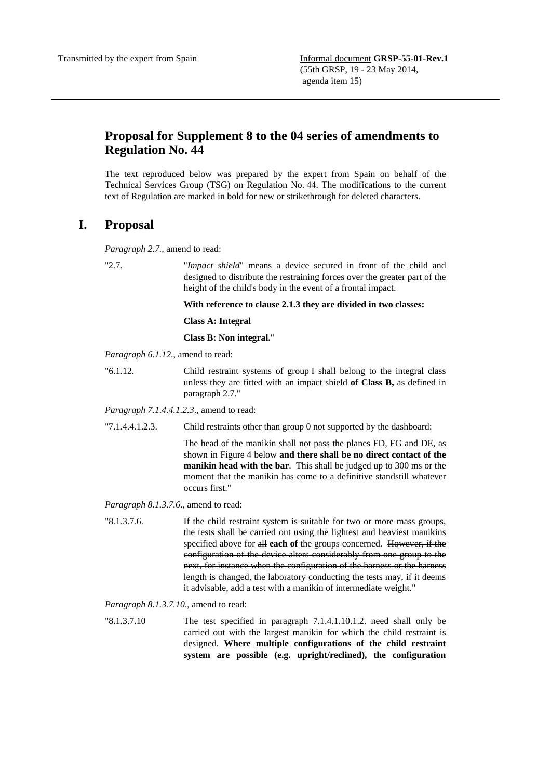## **Proposal for Supplement 8 to the 04 series of amendments to Regulation No. 44**

The text reproduced below was prepared by the expert from Spain on behalf of the Technical Services Group (TSG) on Regulation No. 44. The modifications to the current text of Regulation are marked in bold for new or strikethrough for deleted characters.

## **I. Proposal**

*Paragraph 2.7.,* amend to read:

"2.7. "*Impact shield*" means a device secured in front of the child and designed to distribute the restraining forces over the greater part of the height of the child's body in the event of a frontal impact.

**With reference to clause 2.1.3 they are divided in two classes:** 

**Class A: Integral** 

**Class B: Non integral.**"

*Paragraph 6.1.12*., amend to read:

"6.1.12. Child restraint systems of group I shall belong to the integral class unless they are fitted with an impact shield **of Class B,** as defined in paragraph 2.7."

*Paragraph 7.1.4.4.1.2.3*., amend to read:

"7.1.4.4.1.2.3. Child restraints other than group 0 not supported by the dashboard:

The head of the manikin shall not pass the planes FD, FG and DE, as shown in Figure 4 below **and there shall be no direct contact of the manikin head with the bar**. This shall be judged up to 300 ms or the moment that the manikin has come to a definitive standstill whatever occurs first."

*Paragraph 8.1.3.7.6*., amend to read:

"8.1.3.7.6. If the child restraint system is suitable for two or more mass groups, the tests shall be carried out using the lightest and heaviest manikins specified above for all **each of** the groups concerned. However, if the configuration of the device alters considerably from one group to the next, for instance when the configuration of the harness or the harness length is changed, the laboratory conducting the tests may, if it deems it advisable, add a test with a manikin of intermediate weight."

*Paragraph 8.1.3.7.10*., amend to read:

"8.1.3.7.10 The test specified in paragraph 7.1.4.1.10.1.2. need-shall only be carried out with the largest manikin for which the child restraint is designed. **Where multiple configurations of the child restraint system are possible (e.g. upright/reclined), the configuration**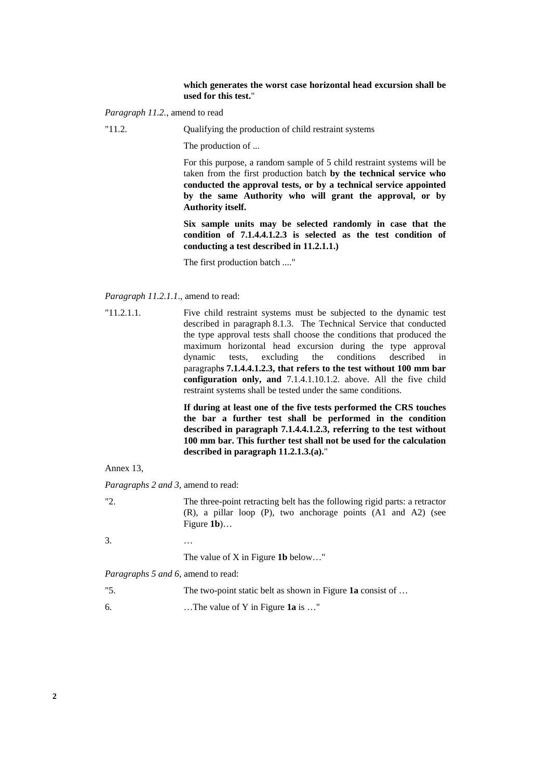## **which generates the worst case horizontal head excursion shall be used for this test.**"

*Paragraph 11.2.*, amend to read

"11.2. Qualifying the production of child restraint systems

The production of ...

For this purpose, a random sample of 5 child restraint systems will be taken from the first production batch **by the technical service who conducted the approval tests, or by a technical service appointed by the same Authority who will grant the approval, or by Authority itself.** 

**Six sample units may be selected randomly in case that the condition of 7.1.4.4.1.2.3 is selected as the test condition of conducting a test described in 11.2.1.1.)** 

The first production batch ...."

*Paragraph 11.2.1.1*., amend to read:

"11.2.1.1. Five child restraint systems must be subjected to the dynamic test described in paragraph 8.1.3. The Technical Service that conducted the type approval tests shall choose the conditions that produced the maximum horizontal head excursion during the type approval dynamic tests, excluding the conditions described in paragraph**s 7.1.4.4.1.2.3, that refers to the test without 100 mm bar configuration only, and** 7.1.4.1.10.1.2. above. All the five child restraint systems shall be tested under the same conditions.

> **If during at least one of the five tests performed the CRS touches the bar a further test shall be performed in the condition described in paragraph 7.1.4.4.1.2.3, referring to the test without 100 mm bar. This further test shall not be used for the calculation described in paragraph 11.2.1.3.(a).**"

Annex 13,

*Paragraphs 2 and 3,* amend to read:

"2. The three-point retracting belt has the following rigid parts: a retractor (R), a pillar loop (P), two anchorage points (A1 and A2) (see Figure **1b**)…

3. …

The value of X in Figure **1b** below…"

*Paragraphs 5 and 6*, amend to read:

"5. The two-point static belt as shown in Figure **1a** consist of … 6. …The value of Y in Figure **1a** is …"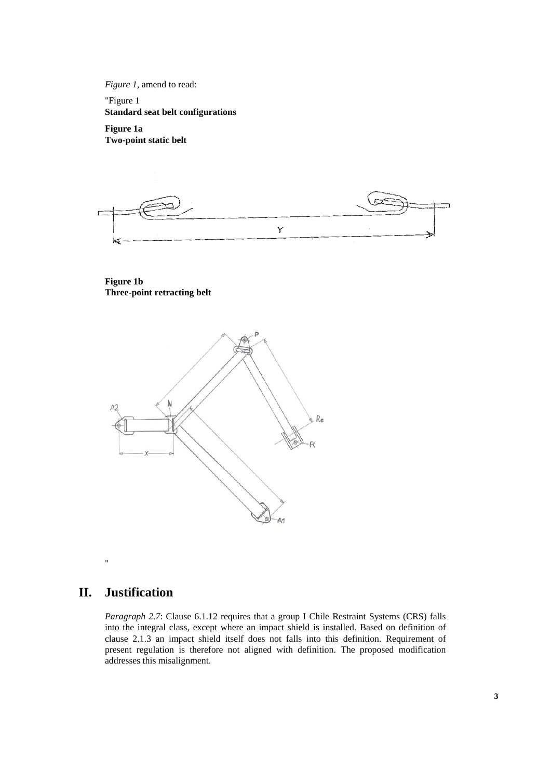*Figure 1, amend to read:* 

"Figure 1 **Standard seat belt configurations** 

**Figure 1a Two-point static belt** 

Y

**Figure 1b Three-point retracting belt** 



## **II. Justification**

"

*Paragraph 2.7*: Clause 6.1.12 requires that a group I Chile Restraint Systems (CRS) falls into the integral class, except where an impact shield is installed. Based on definition of clause 2.1.3 an impact shield itself does not falls into this definition. Requirement of present regulation is therefore not aligned with definition. The proposed modification addresses this misalignment.